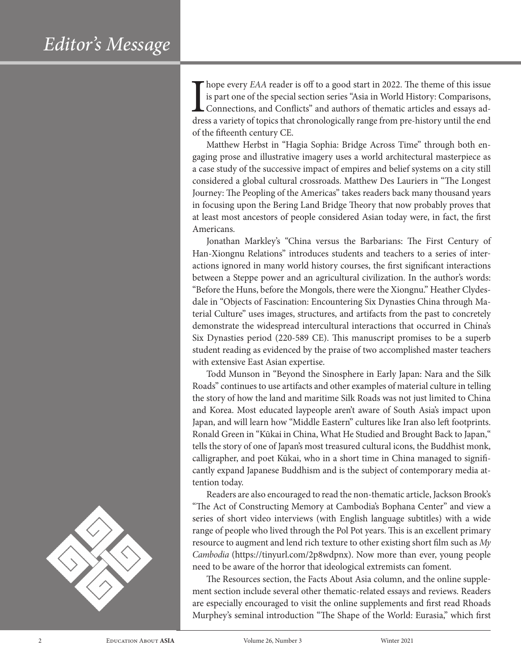I hope every *EAA* reader is off to a good start in 2022. The theme of this issue<br>is part one of the special section series "Asia in World History: Comparisons,<br>Connections, and Conflicts" and authors of thematic articles is part one of the special section series "Asia in World History: Comparisons, Connections, and Conflicts" and authors of thematic articles and essays address a variety of topics that chronologically range from pre-history until the end of the fifteenth century CE.

Matthew Herbst in "Hagia Sophia: Bridge Across Time" through both engaging prose and illustrative imagery uses a world architectural masterpiece as a case study of the successive impact of empires and belief systems on a city still considered a global cultural crossroads. Matthew Des Lauriers in "The Longest Journey: The Peopling of the Americas" takes readers back many thousand years in focusing upon the Bering Land Bridge Theory that now probably proves that at least most ancestors of people considered Asian today were, in fact, the first Americans.

Jonathan Markley's "China versus the Barbarians: The First Century of Han-Xiongnu Relations" introduces students and teachers to a series of interactions ignored in many world history courses, the first significant interactions between a Steppe power and an agricultural civilization. In the author's words: "Before the Huns, before the Mongols, there were the Xiongnu." Heather Clydesdale in "Objects of Fascination: Encountering Six Dynasties China through Material Culture" uses images, structures, and artifacts from the past to concretely demonstrate the widespread intercultural interactions that occurred in China's Six Dynasties period (220-589 CE). This manuscript promises to be a superb student reading as evidenced by the praise of two accomplished master teachers with extensive East Asian expertise.

Todd Munson in "Beyond the Sinosphere in Early Japan: Nara and the Silk Roads" continues to use artifacts and other examples of material culture in telling the story of how the land and maritime Silk Roads was not just limited to China and Korea. Most educated laypeople aren't aware of South Asia's impact upon Japan, and will learn how "Middle Eastern" cultures like Iran also left footprints. Ronald Green in "Kūkai in China, What He Studied and Brought Back to Japan," tells the story of one of Japan's most treasured cultural icons, the Buddhist monk, calligrapher, and poet Kūkai, who in a short time in China managed to significantly expand Japanese Buddhism and is the subject of contemporary media attention today.

Readers are also encouraged to read the non-thematic article, Jackson Brook's "The Act of Constructing Memory at Cambodia's Bophana Center" and view a series of short video interviews (with English language subtitles) with a wide range of people who lived through the Pol Pot years. This is an excellent primary resource to augment and lend rich texture to other existing short film such as *My Cambodia* (https://tinyurl.com/2p8wdpnx). Now more than ever, young people need to be aware of the horror that ideological extremists can foment.

The Resources section, the Facts About Asia column, and the online supplement section include several other thematic-related essays and reviews. Readers are especially encouraged to visit the online supplements and first read Rhoads Murphey's seminal introduction "The Shape of the World: Eurasia," which first